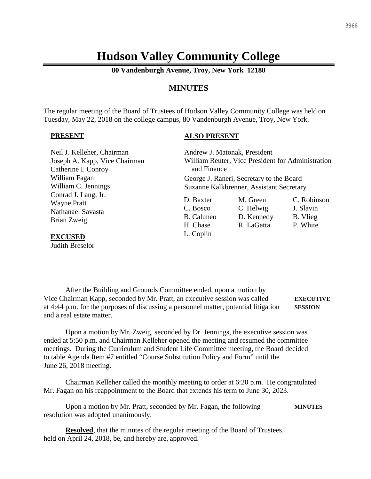## **Hudson Valley Community College**

**80 Vandenburgh Avenue, Troy, New York 12180**

#### **MINUTES**

The regular meeting of the Board of Trustees of Hudson Valley Community College was held on Tuesday, May 22, 2018 on the college campus, 80 Vandenburgh Avenue, Troy, New York.

#### **PRESENT**

#### **ALSO PRESENT**

| Neil J. Kelleher, Chairman    | Andrew J. Matonak, President                      |            |             |
|-------------------------------|---------------------------------------------------|------------|-------------|
| Joseph A. Kapp, Vice Chairman | William Reuter, Vice President for Administration |            |             |
| Catherine I. Conroy           | and Finance                                       |            |             |
| William Fagan                 | George J. Raneri, Secretary to the Board          |            |             |
| William C. Jennings           | Suzanne Kalkbrenner, Assistant Secretary          |            |             |
| Conrad J. Lang, Jr.           |                                                   |            |             |
| <b>Wayne Pratt</b>            | D. Baxter                                         | M. Green   | C. Robinson |
| Nathanael Savasta             | C. Bosco                                          | C. Helwig  | J. Slavin   |
| Brian Zweig                   | B. Caluneo                                        | D. Kennedy | B. Vlieg    |
|                               | H. Chase                                          | R. LaGatta | P. White    |
| <b>EXCUSED</b>                | L. Coplin                                         |            |             |

Judith Breselor

After the Building and Grounds Committee ended, upon a motion by Vice Chairman Kapp, seconded by Mr. Pratt, an executive session was called **EXECUTIVE** at 4:44 p.m. for the purposes of discussing a personnel matter, potential litigation **SESSION** and a real estate matter.

Upon a motion by Mr. Zweig, seconded by Dr. Jennings, the executive session was ended at 5:50 p.m. and Chairman Kelleher opened the meeting and resumed the committee meetings. During the Curriculum and Student Life Committee meeting, the Board decided to table Agenda Item #7 entitled "Course Substitution Policy and Form" until the June 26, 2018 meeting.

Chairman Kelleher called the monthly meeting to order at 6:20 p.m. He congratulated Mr. Fagan on his reappointment to the Board that extends his term to June 30, 2023.

Upon a motion by Mr. Pratt, seconded by Mr. Fagan, the following **MINUTES** resolution was adopted unanimously.

**Resolved**, that the minutes of the regular meeting of the Board of Trustees, held on April 24, 2018, be, and hereby are, approved.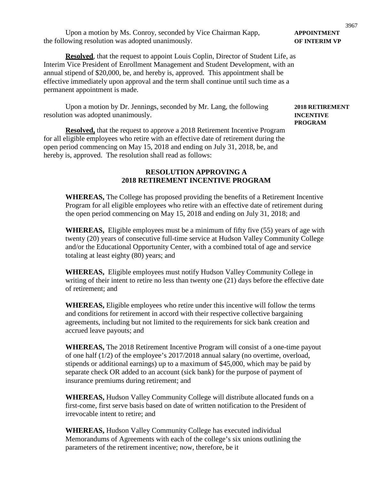Upon a motion by Ms. Conroy, seconded by Vice Chairman Kapp, **APPOINTMENT** the following resolution was adopted unanimously. **OF INTERIM VP**

**Resolved**, that the request to appoint Louis Coplin, Director of Student Life, as Interim Vice President of Enrollment Management and Student Development, with an annual stipend of \$20,000, be, and hereby is, approved. This appointment shall be effective immediately upon approval and the term shall continue until such time as a permanent appointment is made.

Upon a motion by Dr. Jennings, seconded by Mr. Lang, the following **2018 RETIREMENT** resolution was adopted unanimously. **INCENTIVE**

**Resolved,** that the request to approve a 2018 Retirement Incentive Program for all eligible employees who retire with an effective date of retirement during the open period commencing on May 15, 2018 and ending on July 31, 2018, be, and hereby is, approved. The resolution shall read as follows:

#### **RESOLUTION APPROVING A 2018 RETIREMENT INCENTIVE PROGRAM**

**WHEREAS,** The College has proposed providing the benefits of a Retirement Incentive Program for all eligible employees who retire with an effective date of retirement during the open period commencing on May 15, 2018 and ending on July 31, 2018; and

**WHEREAS,** Eligible employees must be a minimum of fifty five (55) years of age with twenty (20) years of consecutive full-time service at Hudson Valley Community College and/or the Educational Opportunity Center, with a combined total of age and service totaling at least eighty (80) years; and

**WHEREAS,** Eligible employees must notify Hudson Valley Community College in writing of their intent to retire no less than twenty one (21) days before the effective date of retirement; and

**WHEREAS,** Eligible employees who retire under this incentive will follow the terms and conditions for retirement in accord with their respective collective bargaining agreements, including but not limited to the requirements for sick bank creation and accrued leave payouts; and

**WHEREAS,** The 2018 Retirement Incentive Program will consist of a one-time payout of one half (1/2) of the employee's 2017/2018 annual salary (no overtime, overload, stipends or additional earnings) up to a maximum of \$45,000, which may be paid by separate check OR added to an account (sick bank) for the purpose of payment of insurance premiums during retirement; and

**WHEREAS,** Hudson Valley Community College will distribute allocated funds on a first-come, first serve basis based on date of written notification to the President of irrevocable intent to retire; and

**WHEREAS,** Hudson Valley Community College has executed individual Memorandums of Agreements with each of the college's six unions outlining the parameters of the retirement incentive; now, therefore, be it

**PROGRAM**

# 3967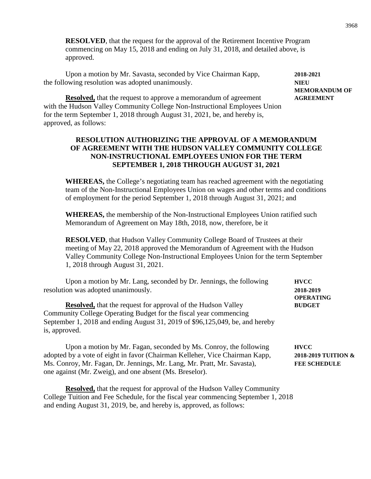**RESOLVED**, that the request for the approval of the Retirement Incentive Program commencing on May 15, 2018 and ending on July 31, 2018, and detailed above, is approved.

Upon a motion by Mr. Savasta, seconded by Vice Chairman Kapp, **2018-2021** the following resolution was adopted unanimously. **NIEU**

**MEMORANDUM OF**

**Resolved,** that the request to approve a memorandum of agreement **AGREEMENT** with the Hudson Valley Community College Non-Instructional Employees Union for the term September 1, 2018 through August 31, 2021, be, and hereby is, approved, as follows:

#### **RESOLUTION AUTHORIZING THE APPROVAL OF A MEMORANDUM OF AGREEMENT WITH THE HUDSON VALLEY COMMUNITY COLLEGE NON-INSTRUCTIONAL EMPLOYEES UNION FOR THE TERM SEPTEMBER 1, 2018 THROUGH AUGUST 31, 2021**

**WHEREAS,** the College's negotiating team has reached agreement with the negotiating team of the Non-Instructional Employees Union on wages and other terms and conditions of employment for the period September 1, 2018 through August 31, 2021; and

**WHEREAS,** the membership of the Non-Instructional Employees Union ratified such Memorandum of Agreement on May 18th, 2018, now, therefore, be it

**RESOLVED**, that Hudson Valley Community College Board of Trustees at their meeting of May 22, 2018 approved the Memorandum of Agreement with the Hudson Valley Community College Non-Instructional Employees Union for the term September 1, 2018 through August 31, 2021.

| Upon a motion by Mr. Lang, seconded by Dr. Jennings, the following<br>resolution was adopted unanimously.                                                                                                                                                                              | <b>HVCC</b><br>2018-2019<br><b>OPERATING</b>              |
|----------------------------------------------------------------------------------------------------------------------------------------------------------------------------------------------------------------------------------------------------------------------------------------|-----------------------------------------------------------|
| <b>Resolved,</b> that the request for approval of the Hudson Valley<br>Community College Operating Budget for the fiscal year commencing<br>September 1, 2018 and ending August 31, 2019 of \$96,125,049, be, and hereby<br>is, approved.                                              | <b>BUDGET</b>                                             |
| Upon a motion by Mr. Fagan, seconded by Ms. Conroy, the following<br>adopted by a vote of eight in favor (Chairman Kelleher, Vice Chairman Kapp,<br>Ms. Conroy, Mr. Fagan, Dr. Jennings, Mr. Lang, Mr. Pratt, Mr. Savasta),<br>one against (Mr. Zweig), and one absent (Ms. Breselor). | <b>HVCC</b><br>2018-2019 TUITION &<br><b>FEE SCHEDULE</b> |
|                                                                                                                                                                                                                                                                                        |                                                           |

**Resolved,** that the request for approval of the Hudson Valley Community College Tuition and Fee Schedule, for the fiscal year commencing September 1, 2018 and ending August 31, 2019, be, and hereby is, approved, as follows: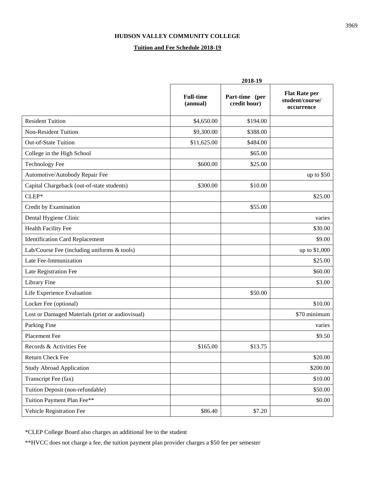#### **HUDSON VALLEY COMMUNITY COLLEGE**

#### **Tuition and Fee Schedule 2018-19**

|                                                  | 2018-19                      |                                |                                                       |
|--------------------------------------------------|------------------------------|--------------------------------|-------------------------------------------------------|
|                                                  | <b>Full-time</b><br>(annual) | Part-time (per<br>credit hour) | <b>Flat Rate per</b><br>student/course/<br>occurrence |
| <b>Resident Tuition</b>                          | \$4,650.00                   | \$194.00                       |                                                       |
| Non-Resident Tuition                             | \$9,300.00                   | \$388.00                       |                                                       |
| Out-of-State Tuition                             | \$11,625.00                  | \$484.00                       |                                                       |
| College in the High School                       |                              | \$65.00                        |                                                       |
| <b>Technology Fee</b>                            | \$600.00                     | \$25.00                        |                                                       |
| Automotive/Autobody Repair Fee                   |                              |                                | up to $$50$                                           |
| Capital Chargeback (out-of-state students)       | \$300.00                     | \$10.00                        |                                                       |
| $CLEP*$                                          |                              |                                | \$25.00                                               |
| Credit by Examination                            |                              | \$55.00                        |                                                       |
| Dental Hygiene Clinic                            |                              |                                | varies                                                |
| Health Facility Fee                              |                              |                                | \$30.00                                               |
| <b>Identification Card Replacement</b>           |                              |                                | \$9.00                                                |
| Lab/Course Fee (including uniforms & tools)      |                              |                                | up to \$1,000                                         |
| Late Fee-Immunization                            |                              |                                | \$25.00                                               |
| Late Registration Fee                            |                              |                                | \$60.00                                               |
| Library Fine                                     |                              |                                | \$3.00                                                |
| Life Experience Evaluation                       |                              | \$50.00                        |                                                       |
| Locker Fee (optional)                            |                              |                                | \$10.00                                               |
| Lost or Damaged Materials (print or audiovisual) |                              |                                | \$70 minimum                                          |
| Parking Fine                                     |                              |                                | varies                                                |
| Placement Fee                                    |                              |                                | \$9.50                                                |
| Records & Activities Fee                         | \$165.00                     | \$13.75                        |                                                       |
| Return Check Fee                                 |                              |                                | \$20.00                                               |
| <b>Study Abroad Application</b>                  |                              |                                | \$200.00                                              |
| Transcript Fee (fax)                             |                              |                                | \$10.00                                               |
| Tuition Deposit (non-refundable)                 |                              |                                | \$50.00                                               |
| Tuition Payment Plan Fee**                       |                              |                                | \$0.00                                                |
| Vehicle Registration Fee                         | \$86.40                      | \$7.20                         |                                                       |

\*CLEP College Board also charges an additional fee to the student

\*\*HVCC does not charge a fee, the tuition payment plan provider charges a \$50 fee per semester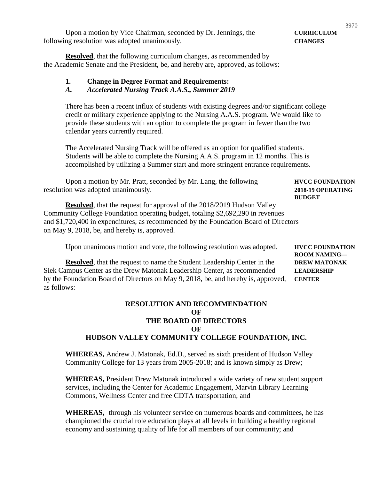Upon a motion by Vice Chairman, seconded by Dr. Jennings, the **CURRICULUM** following resolution was adopted unanimously. **CHANGES**

**Resolved**, that the following curriculum changes, as recommended by the Academic Senate and the President, be, and hereby are, approved, as follows:

#### **1. Change in Degree Format and Requirements:**

*A. Accelerated Nursing Track A.A.S., Summer 2019*

There has been a recent influx of students with existing degrees and/or significant college credit or military experience applying to the Nursing A.A.S. program. We would like to provide these students with an option to complete the program in fewer than the two calendar years currently required.

The Accelerated Nursing Track will be offered as an option for qualified students. Students will be able to complete the Nursing A.A.S. program in 12 months. This is accomplished by utilizing a Summer start and more stringent entrance requirements.

Upon a motion by Mr. Pratt, seconded by Mr. Lang, the following **HVCC FOUNDATION** resolution was adopted unanimously. **2018-19 OPERATING**

**Resolved**, that the request for approval of the 2018/2019 Hudson Valley Community College Foundation operating budget, totaling \$2,692,290 in revenues and \$1,720,400 in expenditures, as recommended by the Foundation Board of Directors on May 9, 2018, be, and hereby is, approved.

Upon unanimous motion and vote, the following resolution was adopted. **HVCC FOUNDATION** 

**Resolved**, that the request to name the Student Leadership Center in the **DREW MATONAK** Siek Campus Center as the Drew Matonak Leadership Center, as recommended **LEADERSHIP** by the Foundation Board of Directors on May 9, 2018, be, and hereby is, approved, **CENTER** as follows:

#### **RESOLUTION AND RECOMMENDATION OF THE BOARD OF DIRECTORS OF HUDSON VALLEY COMMUNITY COLLEGE FOUNDATION, INC.**

**WHEREAS,** Andrew J. Matonak, Ed.D., served as sixth president of Hudson Valley Community College for 13 years from 2005-2018; and is known simply as Drew;

**WHEREAS,** President Drew Matonak introduced a wide variety of new student support services, including the Center for Academic Engagement, Marvin Library Learning Commons, Wellness Center and free CDTA transportation; and

**WHEREAS,** through his volunteer service on numerous boards and committees, he has championed the crucial role education plays at all levels in building a healthy regional economy and sustaining quality of life for all members of our community; and

**BUDGET**

**ROOM NAMING—**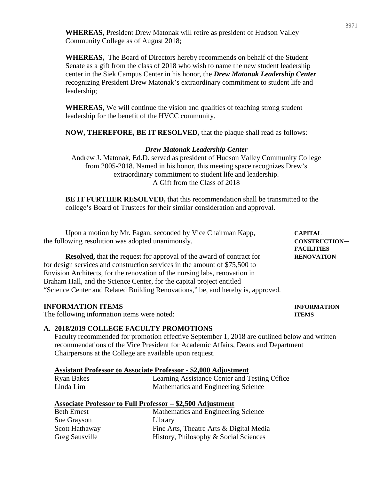**WHEREAS,** President Drew Matonak will retire as president of Hudson Valley Community College as of August 2018;

**WHEREAS,** The Board of Directors hereby recommends on behalf of the Student Senate as a gift from the class of 2018 who wish to name the new student leadership center in the Siek Campus Center in his honor, the *Drew Matonak Leadership Center*  recognizing President Drew Matonak's extraordinary commitment to student life and leadership;

**WHEREAS,** We will continue the vision and qualities of teaching strong student leadership for the benefit of the HVCC community.

**NOW, THEREFORE, BE IT RESOLVED,** that the plaque shall read as follows:

#### *Drew Matonak Leadership Center*

Andrew J. Matonak, Ed.D. served as president of Hudson Valley Community College from 2005-2018. Named in his honor, this meeting space recognizes Drew's extraordinary commitment to student life and leadership. A Gift from the Class of 2018

**BE IT FURTHER RESOLVED,** that this recommendation shall be transmitted to the college's Board of Trustees for their similar consideration and approval.

Upon a motion by Mr. Fagan, seconded by Vice Chairman Kapp, **CAPITAL** the following resolution was adopted unanimously. **CONSTRUCTION—**

**Resolved,** that the request for approval of the award of contract for **RENOVATION** for design services and construction services in the amount of \$75,500 to Envision Architects, for the renovation of the nursing labs, renovation in Braham Hall, and the Science Center, for the capital project entitled "Science Center and Related Building Renovations," be, and hereby is, approved.

#### **INFORMATION ITEMS INFORMATION**

The following information items were noted: **ITEMS**

#### **A. 2018/2019 COLLEGE FACULTY PROMOTIONS**

Faculty recommended for promotion effective September 1, 2018 are outlined below and written recommendations of the Vice President for Academic Affairs, Deans and Department Chairpersons at the College are available upon request.

| <b>Assistant Professor to Associate Professor - \$2,000 Adjustment</b> |
|------------------------------------------------------------------------|
|------------------------------------------------------------------------|

| Ryan Bakes | Learning Assistance Center and Testing Office |
|------------|-----------------------------------------------|
| Linda Lim  | Mathematics and Engineering Science           |

|  | Associate Professor to Full Professor - \$2,500 Adjustment |
|--|------------------------------------------------------------|
|  |                                                            |

| <b>Beth Ernest</b>    | Mathematics and Engineering Science     |
|-----------------------|-----------------------------------------|
| Sue Grayson           | Library                                 |
| Scott Hathaway        | Fine Arts, Theatre Arts & Digital Media |
| <b>Greg Sausville</b> | History, Philosophy & Social Sciences   |

**FACILITIES**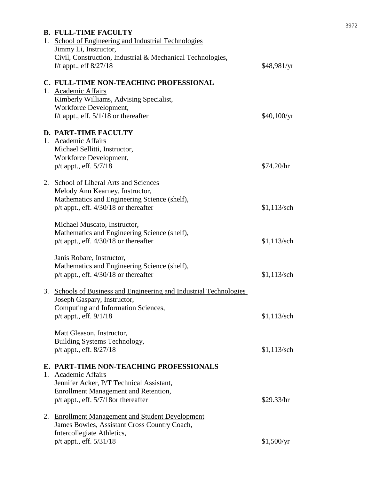| <b>B. FULL-TIME FACULTY</b><br>1. School of Engineering and Industrial Technologies                                                                                                            |               |
|------------------------------------------------------------------------------------------------------------------------------------------------------------------------------------------------|---------------|
| Jimmy Li, Instructor,<br>Civil, Construction, Industrial & Mechanical Technologies,<br>f/t appt., eff $8/27/18$                                                                                | \$48,981/yr   |
| C. FULL-TIME NON-TEACHING PROFESSIONAL<br>1. Academic Affairs<br>Kimberly Williams, Advising Specialist,<br>Workforce Development,<br>f/t appt., eff. $5/1/18$ or thereafter                   | \$40,100/yr   |
| D. PART-TIME FACULTY<br>1. Academic Affairs<br>Michael Sellitti, Instructor,<br>Workforce Development,<br>p/t appt., eff. 5/7/18                                                               | \$74.20/hr    |
| 2. School of Liberal Arts and Sciences<br>Melody Ann Kearney, Instructor,<br>Mathematics and Engineering Science (shelf),<br>$p/t$ appt., eff. $4/30/18$ or thereafter                         | $$1,113$ /sch |
| Michael Muscato, Instructor,<br>Mathematics and Engineering Science (shelf),<br>$p/t$ appt., eff. $4/30/18$ or thereafter                                                                      | $$1,113$ /sch |
| Janis Robare, Instructor,<br>Mathematics and Engineering Science (shelf),<br>$p/t$ appt., eff. $4/30/18$ or thereafter                                                                         | $$1,113$ /sch |
| 3. Schools of Business and Engineering and Industrial Technologies<br>Joseph Gaspary, Instructor,<br>Computing and Information Sciences,<br>p/t appt., eff. 9/1/18                             | $$1,113$ /sch |
| Matt Gleason, Instructor,<br>Building Systems Technology,<br>$p/t$ appt., eff. $8/27/18$                                                                                                       | $$1,113$ /sch |
| E. PART-TIME NON-TEACHING PROFESSIONALS<br>1. Academic Affairs<br>Jennifer Acker, P/T Technical Assistant,<br>Enrollment Management and Retention,<br>$p/t$ appt., eff. $5/7/18$ or thereafter | \$29.33/hr    |
| 2. Enrollment Management and Student Development<br>James Bowles, Assistant Cross Country Coach,<br>Intercollegiate Athletics,<br>p/t appt., eff. 5/31/18                                      | \$1,500/yr    |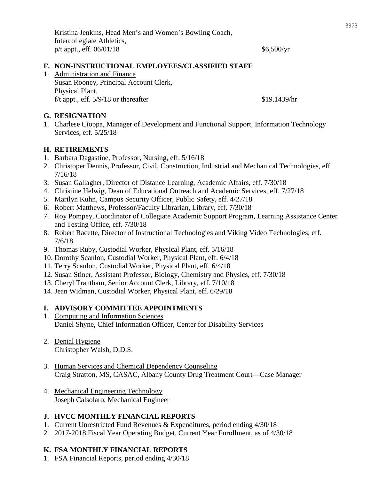#### **F. NON-INSTRUCTIONAL EMPLOYEES/CLASSIFIED STAFF**

1. Administration and Finance Susan Rooney, Principal Account Clerk, Physical Plant,  $f/t$  appt., eff.  $5/9/18$  or thereafter \$19.1439/hr

#### **G. RESIGNATION**

1. Charlese Cioppa, Manager of Development and Functional Support, Information Technology Services, eff. 5/25/18

#### **H. RETIREMENTS**

- 1. Barbara Dagastine, Professor, Nursing, eff. 5/16/18
- 2. Christoper Dennis, Professor, Civil, Construction, Industrial and Mechanical Technologies, eff. 7/16/18
- 3. Susan Gallagher, Director of Distance Learning, Academic Affairs, eff. 7/30/18
- 4. Christine Helwig, Dean of Educational Outreach and Academic Services, eff. 7/27/18
- 5. Marilyn Kuhn, Campus Security Officer, Public Safety, eff. 4/27/18
- 6. Robert Matthews, Professor/Faculty Librarian, Library, eff. 7/30/18
- 7. Roy Pompey, Coordinator of Collegiate Academic Support Program, Learning Assistance Center and Testing Office, eff. 7/30/18
- 8. Robert Racette, Director of Instructional Technologies and Viking Video Technologies, eff. 7/6/18
- 9. Thomas Ruby, Custodial Worker, Physical Plant, eff. 5/16/18
- 10. Dorothy Scanlon, Custodial Worker, Physical Plant, eff. 6/4/18
- 11. Terry Scanlon, Custodial Worker, Physical Plant, eff. 6/4/18
- 12. Susan Stiner, Assistant Professor, Biology, Chemistry and Physics, eff. 7/30/18
- 13. Cheryl Trantham, Senior Account Clerk, Library, eff. 7/10/18
- 14. Jean Widman, Custodial Worker, Physical Plant, eff. 6/29/18

### **I. ADVISORY COMMITTEE APPOINTMENTS**

- 1. Computing and Information Sciences Daniel Shyne, Chief Information Officer, Center for Disability Services
- 2. Dental Hygiene Christopher Walsh, D.D.S.
- 3. Human Services and Chemical Dependency Counseling Craig Stratton, MS, CASAC, Albany County Drug Treatment Court—Case Manager
- 4. Mechanical Engineering Technology Joseph Calsolaro, Mechanical Engineer

### **J. HVCC MONTHLY FINANCIAL REPORTS**

- 1. Current Unrestricted Fund Revenues & Expenditures, period ending 4/30/18
- 2. 2017-2018 Fiscal Year Operating Budget, Current Year Enrollment, as of 4/30/18

### **K. FSA MONTHLY FINANCIAL REPORTS**

1. FSA Financial Reports, period ending 4/30/18